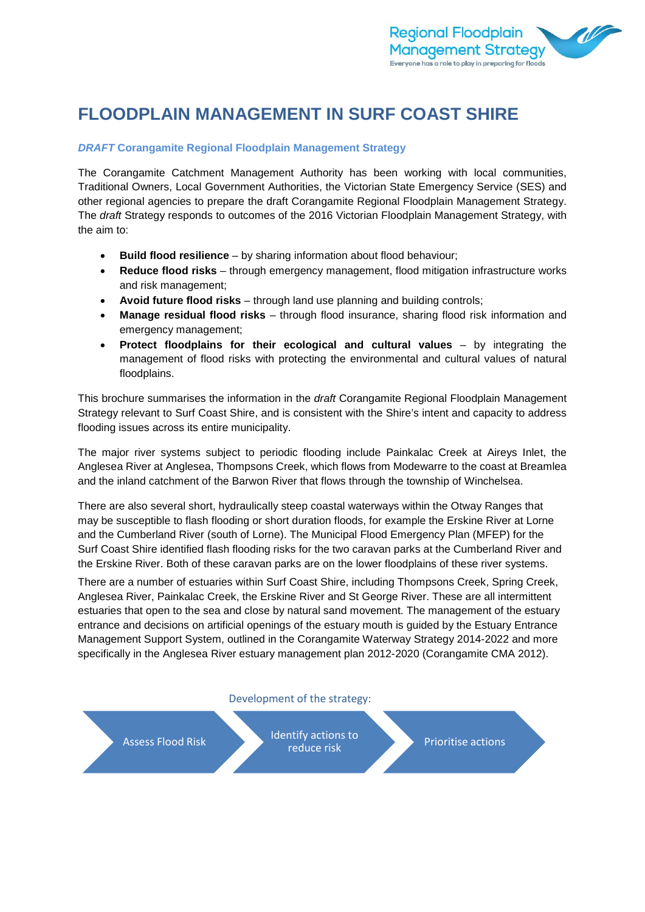

# **FLOODPLAIN MANAGEMENT IN SURF COAST SHIRE**

### *DRAFT* **Corangamite Regional Floodplain Management Strategy**

The Corangamite Catchment Management Authority has been working with local communities, Traditional Owners, Local Government Authorities, the Victorian State Emergency Service (SES) and other regional agencies to prepare the draft Corangamite Regional Floodplain Management Strategy. The *draft* Strategy responds to outcomes of the 2016 Victorian Floodplain Management Strategy, with the aim to:

- **Build flood resilience** by sharing information about flood behaviour;
- **Reduce flood risks** through emergency management, flood mitigation infrastructure works and risk management;
- **Avoid future flood risks** through land use planning and building controls;
- **Manage residual flood risks** through flood insurance, sharing flood risk information and emergency management;
- **Protect floodplains for their ecological and cultural values**  by integrating the management of flood risks with protecting the environmental and cultural values of natural floodplains.

This brochure summarises the information in the *draft* Corangamite Regional Floodplain Management Strategy relevant to Surf Coast Shire, and is consistent with the Shire's intent and capacity to address flooding issues across its entire municipality.

The major river systems subject to periodic flooding include Painkalac Creek at Aireys Inlet, the Anglesea River at Anglesea, Thompsons Creek, which flows from Modewarre to the coast at Breamlea and the inland catchment of the Barwon River that flows through the township of Winchelsea.

There are also several short, hydraulically steep coastal waterways within the Otway Ranges that may be susceptible to flash flooding or short duration floods, for example the Erskine River at Lorne and the Cumberland River (south of Lorne). The Municipal Flood Emergency Plan (MFEP) for the Surf Coast Shire identified flash flooding risks for the two caravan parks at the Cumberland River and the Erskine River. Both of these caravan parks are on the lower floodplains of these river systems.

There are a number of estuaries within Surf Coast Shire, including Thompsons Creek, Spring Creek, Anglesea River, Painkalac Creek, the Erskine River and St George River. These are all intermittent estuaries that open to the sea and close by natural sand movement. The management of the estuary entrance and decisions on artificial openings of the estuary mouth is guided by the Estuary Entrance Management Support System, outlined in the Corangamite Waterway Strategy 2014-2022 and more specifically in the Anglesea River estuary management plan 2012-2020 (Corangamite CMA 2012).

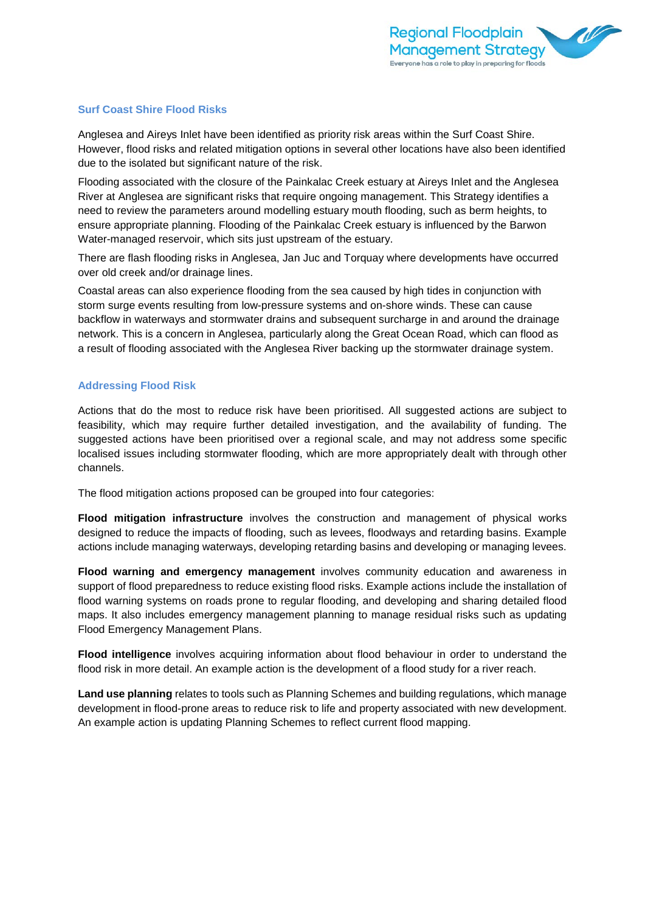

#### **Surf Coast Shire Flood Risks**

Anglesea and Aireys Inlet have been identified as priority risk areas within the Surf Coast Shire. However, flood risks and related mitigation options in several other locations have also been identified due to the isolated but significant nature of the risk.

Flooding associated with the closure of the Painkalac Creek estuary at Aireys Inlet and the Anglesea River at Anglesea are significant risks that require ongoing management. This Strategy identifies a need to review the parameters around modelling estuary mouth flooding, such as berm heights, to ensure appropriate planning. Flooding of the Painkalac Creek estuary is influenced by the Barwon Water-managed reservoir, which sits just upstream of the estuary.

There are flash flooding risks in Anglesea, Jan Juc and Torquay where developments have occurred over old creek and/or drainage lines.

Coastal areas can also experience flooding from the sea caused by high tides in conjunction with storm surge events resulting from low-pressure systems and on-shore winds. These can cause backflow in waterways and stormwater drains and subsequent surcharge in and around the drainage network. This is a concern in Anglesea, particularly along the Great Ocean Road, which can flood as a result of flooding associated with the Anglesea River backing up the stormwater drainage system.

#### **Addressing Flood Risk**

Actions that do the most to reduce risk have been prioritised. All suggested actions are subject to feasibility, which may require further detailed investigation, and the availability of funding. The suggested actions have been prioritised over a regional scale, and may not address some specific localised issues including stormwater flooding, which are more appropriately dealt with through other channels.

The flood mitigation actions proposed can be grouped into four categories:

**Flood mitigation infrastructure** involves the construction and management of physical works designed to reduce the impacts of flooding, such as levees, floodways and retarding basins. Example actions include managing waterways, developing retarding basins and developing or managing levees.

**Flood warning and emergency management** involves community education and awareness in support of flood preparedness to reduce existing flood risks. Example actions include the installation of flood warning systems on roads prone to regular flooding, and developing and sharing detailed flood maps. It also includes emergency management planning to manage residual risks such as updating Flood Emergency Management Plans.

**Flood intelligence** involves acquiring information about flood behaviour in order to understand the flood risk in more detail. An example action is the development of a flood study for a river reach.

**Land use planning** relates to tools such as Planning Schemes and building regulations, which manage development in flood-prone areas to reduce risk to life and property associated with new development. An example action is updating Planning Schemes to reflect current flood mapping.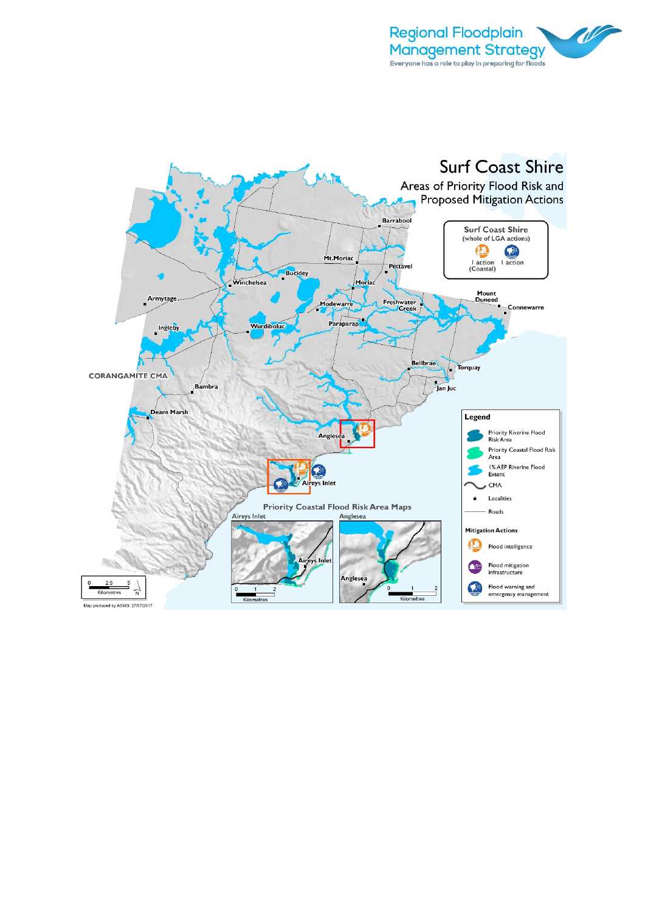